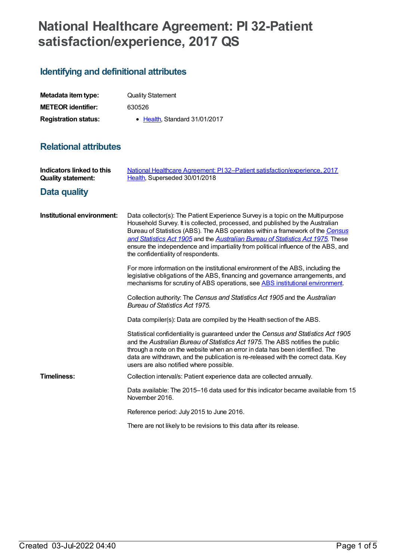# **National Healthcare Agreement: PI 32-Patient satisfaction/experience, 2017 QS**

## **Identifying and definitional attributes**

| Metadata item type:         | <b>Quality Statement</b>      |
|-----------------------------|-------------------------------|
| <b>METEOR</b> identifier:   | 630526                        |
| <b>Registration status:</b> | • Health, Standard 31/01/2017 |

### **Relational attributes**

| Indicators linked to this<br><b>Quality statement:</b> | National Healthcare Agreement: PI32-Patient satisfaction/experience, 2017<br>Health, Superseded 30/01/2018                                                                                                                                                                                                                                                                                                                                                       |
|--------------------------------------------------------|------------------------------------------------------------------------------------------------------------------------------------------------------------------------------------------------------------------------------------------------------------------------------------------------------------------------------------------------------------------------------------------------------------------------------------------------------------------|
| Data quality                                           |                                                                                                                                                                                                                                                                                                                                                                                                                                                                  |
| Institutional environment:                             | Data collector(s): The Patient Experience Survey is a topic on the Multipurpose<br>Household Survey. It is collected, processed, and published by the Australian<br>Bureau of Statistics (ABS). The ABS operates within a framework of the Census<br>and Statistics Act 1905 and the Australian Bureau of Statistics Act 1975. These<br>ensure the independence and impartiality from political influence of the ABS, and<br>the confidentiality of respondents. |
|                                                        | For more information on the institutional environment of the ABS, including the<br>legislative obligations of the ABS, financing and governance arrangements, and<br>mechanisms for scrutiny of ABS operations, see ABS institutional environment.                                                                                                                                                                                                               |
|                                                        | Collection authority: The Census and Statistics Act 1905 and the Australian<br><b>Bureau of Statistics Act 1975.</b>                                                                                                                                                                                                                                                                                                                                             |
|                                                        | Data compiler(s): Data are compiled by the Health section of the ABS.                                                                                                                                                                                                                                                                                                                                                                                            |
|                                                        | Statistical confidentiality is guaranteed under the Census and Statistics Act 1905<br>and the Australian Bureau of Statistics Act 1975. The ABS notifies the public<br>through a note on the website when an error in data has been identified. The<br>data are withdrawn, and the publication is re-released with the correct data. Key<br>users are also notified where possible.                                                                              |
| <b>Timeliness:</b>                                     | Collection interval/s: Patient experience data are collected annually.                                                                                                                                                                                                                                                                                                                                                                                           |
|                                                        | Data available: The 2015–16 data used for this indicator became available from 15<br>November 2016.                                                                                                                                                                                                                                                                                                                                                              |
|                                                        | Reference period: July 2015 to June 2016.                                                                                                                                                                                                                                                                                                                                                                                                                        |
|                                                        | There are not likely to be revisions to this data after its release.                                                                                                                                                                                                                                                                                                                                                                                             |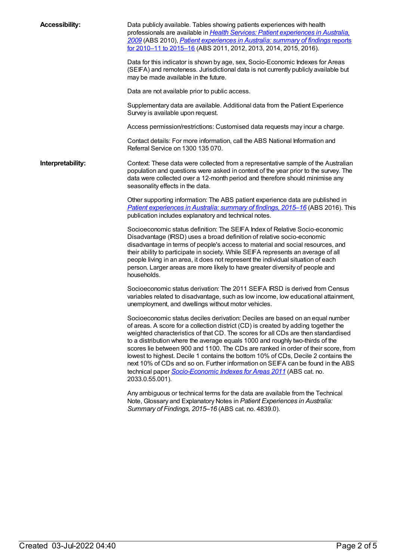**Accessibility:** Data publicly available. Tables showing patients experiences with health [professionals](http://www.abs.gov.au/AUSSTATS/abs@.nsf/Lookup/4839.0.55.001Main+Features12009?OpenDocument) are available in *Health Services: Patient experiences in Australia, 2009* (ABS 2010), *Patient [experiences](http://www.abs.gov.au/ausstats/abs@.nsf/mf/4839.0) in Australia: summary of findings* reports for 2010–11 to 2015–16 (ABS 2011, 2012, 2013, 2014, 2015, 2016). Data for this indicator is shown by age, sex, Socio-Economic Indexes for Areas (SEIFA) and remoteness. Jurisdictional data is not currently publicly available but may be made available in the future. Data are not available prior to public access. Supplementary data are available. Additional data from the Patient Experience Survey is available upon request. Access permission/restrictions: Customised data requests may incur a charge. Contact details: For more information, call the ABS National Information and Referral Service on 1300 135 070. **Interpretability:** Context: These data were collected from a representative sample of the Australian population and questions were asked in context of the year prior to the survey. The data were collected over a 12-month period and therefore should minimise any seasonality effects in the data. Other supporting information: The ABS patient experience data are published in *Patient [experiences](http://www.abs.gov.au/ausstats/abs@.nsf/mf/4839.0) in Australia: summary of findings, 2015–16* (ABS 2016). This publication includes explanatory and technical notes. Socioeconomic status definition: The SEIFA Index of Relative Socio-economic Disadvantage (IRSD) uses a broad definition of relative socio-economic disadvantage in terms of people's access to material and social resources, and their ability to participate in society. While SEIFA represents an average of all people living in an area, it does not represent the individual situation of each person. Larger areas are more likely to have greater diversity of people and households. Socioeconomic status derivation: The 2011 SEIFA IRSD is derived from Census variables related to disadvantage, such as low income, low educational attainment, unemployment, and dwellings without motor vehicles. Socioeconomic status deciles derivation: Deciles are based on an equal number of areas. A score for a collection district (CD) is created by adding together the weighted characteristics of that CD. The scores for all CDs are then standardised to a distribution where the average equals 1000 and roughly two-thirds of the scores lie between 900 and 1100. The CDs are ranked in order of their score, from lowest to highest. Decile 1 contains the bottom 10% of CDs, Decile 2 contains the next 10% of CDs and so on. Further information on SEIFA can be found in the ABS technical paper *[Socio-Economic](http://www.abs.gov.au/AUSSTATS/abs@.nsf/Lookup/2033.0.55.001Main+Features12011?OpenDocument) Indexes for Areas 2011* (ABS cat. no. 2033.0.55.001). Any ambiguous or technical terms for the data are available from the Technical Note, Glossary and Explanatory Notes in *Patient Experiences in Australia: Summary of Findings, 2015–16* (ABS cat. no. 4839.0).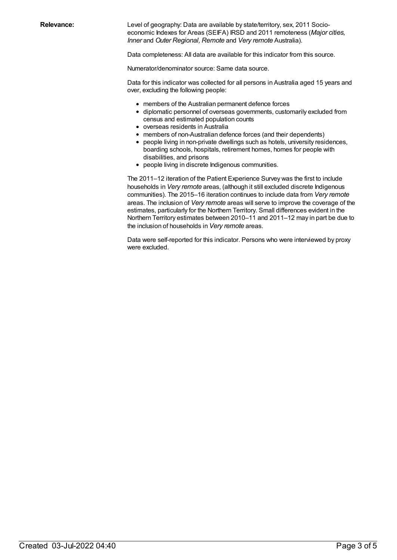**Relevance:** Level of geography: Data are available by state/territory, sex, 2011 Socioeconomic Indexes for Areas (SEIFA) IRSD and 2011 remoteness (*Major cities, Inner* and *Outer Regional, Remote* and *Very remote* Australia).

Data completeness: All data are available for this indicator from this source.

Numerator/denominator source: Same data source.

Data for this indicator was collected for all persons in Australia aged 15 years and over, excluding the following people:

- members of the Australian permanent defence forces
- diplomatic personnel of overseas governments, customarily excluded from census and estimated population counts
- overseas residents in Australia
- members of non-Australian defence forces (and their dependents)
- people living in non-private dwellings such as hotels, university residences, boarding schools, hospitals, retirement homes, homes for people with disabilities, and prisons
- people living in discrete Indigenous communities.

The 2011–12 iteration of the Patient Experience Survey was the first to include households in *Very remote* areas, (although it still excluded discrete Indigenous communities). The 2015–16 iteration continues to include data from *Very remote* areas. The inclusion of *Very remote* areas will serve to improve the coverage of the estimates, particularly for the Northern Territory. Small differences evident in the Northern Territory estimates between 2010–11 and 2011–12 may in part be due to the inclusion of households in *Very remote* areas.

Data were self-reported for this indicator. Persons who were interviewed by proxy were excluded.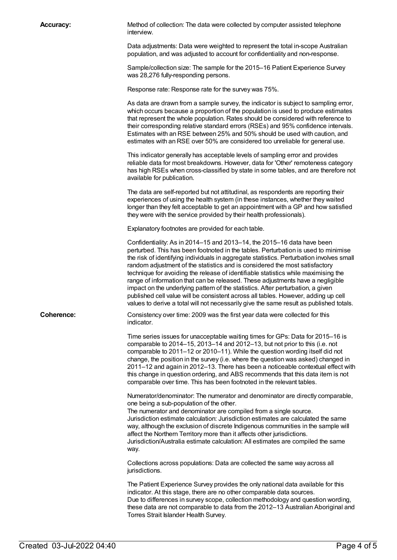| <b>Accuracy:</b> | Method of collection: The data were collected by computer assisted telephone<br>interview.                                                                                                                                                                                                                                                                                                                                                                                                                                                                                                                                                                                                                                                                                                                  |
|------------------|-------------------------------------------------------------------------------------------------------------------------------------------------------------------------------------------------------------------------------------------------------------------------------------------------------------------------------------------------------------------------------------------------------------------------------------------------------------------------------------------------------------------------------------------------------------------------------------------------------------------------------------------------------------------------------------------------------------------------------------------------------------------------------------------------------------|
|                  | Data adjustments: Data were weighted to represent the total in-scope Australian<br>population, and was adjusted to account for confidentiality and non-response.                                                                                                                                                                                                                                                                                                                                                                                                                                                                                                                                                                                                                                            |
|                  | Sample/collection size: The sample for the 2015-16 Patient Experience Survey<br>was 28,276 fully-responding persons.                                                                                                                                                                                                                                                                                                                                                                                                                                                                                                                                                                                                                                                                                        |
|                  | Response rate: Response rate for the survey was 75%.                                                                                                                                                                                                                                                                                                                                                                                                                                                                                                                                                                                                                                                                                                                                                        |
|                  | As data are drawn from a sample survey, the indicator is subject to sampling error,<br>which occurs because a proportion of the population is used to produce estimates<br>that represent the whole population. Rates should be considered with reference to<br>their corresponding relative standard errors (RSEs) and 95% confidence intervals.<br>Estimates with an RSE between 25% and 50% should be used with caution, and<br>estimates with an RSE over 50% are considered too unreliable for general use.                                                                                                                                                                                                                                                                                            |
|                  | This indicator generally has acceptable levels of sampling error and provides<br>reliable data for most breakdowns. However, data for 'Other' remoteness category<br>has high RSEs when cross-classified by state in some tables, and are therefore not<br>available for publication.                                                                                                                                                                                                                                                                                                                                                                                                                                                                                                                       |
|                  | The data are self-reported but not attitudinal, as respondents are reporting their<br>experiences of using the health system (in these instances, whether they waited<br>longer than they felt acceptable to get an appointment with a GP and how satisfied<br>they were with the service provided by their health professionals).                                                                                                                                                                                                                                                                                                                                                                                                                                                                          |
|                  | Explanatory footnotes are provided for each table.                                                                                                                                                                                                                                                                                                                                                                                                                                                                                                                                                                                                                                                                                                                                                          |
|                  | Confidentiality: As in 2014-15 and 2013-14, the 2015-16 data have been<br>perturbed. This has been footnoted in the tables. Perturbation is used to minimise<br>the risk of identifying individuals in aggregate statistics. Perturbation involves small<br>random adjustment of the statistics and is considered the most satisfactory<br>technique for avoiding the release of identifiable statistics while maximising the<br>range of information that can be released. These adjustments have a negligible<br>impact on the underlying pattern of the statistics. After perturbation, a given<br>published cell value will be consistent across all tables. However, adding up cell<br>values to derive a total will not necessarily give the same result as published totals.                         |
| Coherence:       | Consistency over time: 2009 was the first year data were collected for this<br>indicator.                                                                                                                                                                                                                                                                                                                                                                                                                                                                                                                                                                                                                                                                                                                   |
|                  | Time series issues for unacceptable waiting times for GPs: Data for 2015-16 is<br>comparable to 2014-15, 2013-14 and 2012-13, but not prior to this (i.e. not<br>comparable to 2011-12 or 2010-11). While the question wording itself did not<br>change, the position in the survey (i.e. where the question was asked) changed in<br>2011-12 and again in 2012-13. There has been a noticeable contextual effect with<br>this change in question ordering, and ABS recommends that this data item is not<br>comparable over time. This has been footnoted in the relevant tables.                                                                                                                                                                                                                          |
|                  | Numerator/denominator: The numerator and denominator are directly comparable,<br>one being a sub-population of the other.<br>The numerator and denominator are compiled from a single source.<br>Jurisdiction estimate calculation: Jurisdiction estimates are calculated the same<br>way, although the exclusion of discrete Indigenous communities in the sample will<br>affect the Northern Territory more than it affects other jurisdictions.<br>Jurisdiction/Australia estimate calculation: All estimates are compiled the same<br>way.<br>Collections across populations: Data are collected the same way across all<br>jurisdictions.<br>The Patient Experience Survey provides the only national data available for this<br>indicator. At this stage, there are no other comparable data sources. |
|                  | Due to differences in survey scope, collection methodology and question wording,<br>these data are not comparable to data from the 2012-13 Australian Aboriginal and                                                                                                                                                                                                                                                                                                                                                                                                                                                                                                                                                                                                                                        |

Torres Strait Islander Health Survey.